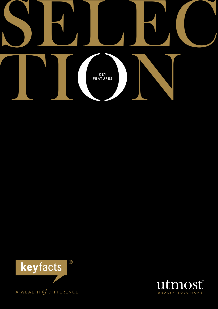



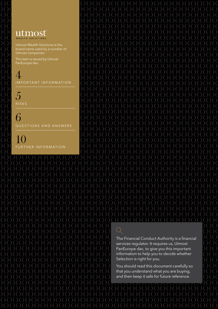## utmost WEALTH SOLUTIONS

Utmost Wealth Solutions is the brand name used by a number of Utmost companies.

This item is issued by Utmost PanEurope dac.

 $\angle$ IMPORTANT INFORMATION

5 **RISKS** 

6 QUESTIONS AND ANSWERS

10 FURTHER INFORMATION

The Financial Conduct Authority is a financial services regulator. It requires us, Utmost PanEurope dac, to give you this important information to help you to decide whether Selection is right for you.

You should read this document carefully so that you understand what you are buying, and then keep it safe for future reference.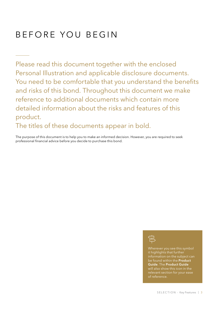# BEFORE YOU BEGIN

Please read this document together with the enclosed Personal Illustration and applicable disclosure documents. You need to be comfortable that you understand the benefits and risks of this bond. Throughout this document we make reference to additional documents which contain more detailed information about the risks and features of this product.

The titles of these documents appear in bold.

The purpose of this document is to help you to make an informed decision. However, you are required to seek professional financial advice before you decide to purchase this bond.



Wherever you see this symbol it highlights that further information on the subject can be found within the Product Guide. The Product Guide will also show this icon in the relevant section for your ease of reference.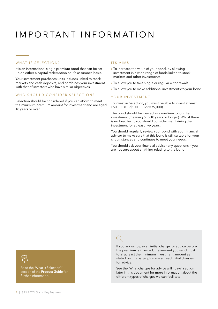# I MPORTANT INFORMATION

### WHAT IS SELECTION?

It is an international single premium bond that can be set up on either a capital redemption or life assurance basis.

Your investment purchases units in funds linked to stock markets and cash deposits, and combines your investment with that of investors who have similar objectives.

#### WHO SHOULD CONSIDER SELECTION?

Selection should be considered if you can afford to meet the minimum premium amount for investment and are aged 18 years or over.

#### ITS AIMS

- $\rightarrow$  To increase the value of your bond, by allowing investment in a wide range of funds linked to stock markets and other investments
- › To allow you to take single or regular withdrawals
- $\rightarrow$  To allow you to make additional investments to your bond.

#### YOUR INVESTMENT

To invest in Selection, you must be able to invest at least £50,000 (US \$100,000 or €75,000).

The bond should be viewed as a medium to long term investment (meaning 5 to 10 years or longer). Whilst there is no fixed term, you should consider maintaining the investment for at least five years.

You should regularly review your bond with your financial adviser to make sure that this bond is still suitable for your circumstances and continues to meet your needs.

You should ask your financial adviser any questions if you are not sure about anything relating to the bond.



Read the 'What is Selection?' section of the **Product Guide** for further information.

If you ask us to pay an initial charge for advice before the premium is invested, the amount you send must total at least the minimum investment amount as stated on this page, plus any agreed initial charges for advice.

See the 'What charges for advice will I pay?' section later in this document for more information about the different types of charges we can facilitate.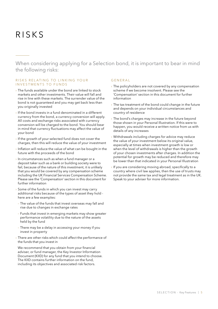# R isks

When considering applying for a Selection bond, it is important to bear in mind the following risks:

#### RISKS RELATING TO LINKING YOUR INVESTMENTS TO FUNDS

- › The funds available under the bond are linked to stock markets and other investments. Their value will fall and rise in line with these markets. The surrender value of the bond is not guaranteed and you may get back less than you originally invested
- › If the bond invests in a fund denominated in a different currency from the bond, a currency conversion will apply. All costs and exchange risks associated with currency conversion will be charged to the bond. You should bear in mind that currency fluctuations may affect the value of your bond
- › If the growth of your selected fund does not cover the charges, then this will reduce the value of your investment
- › Inflation will reduce the value of what can be bought in the future with the proceeds of the bond
- $\rightarrow$  In circumstances such as when a fund manager or a deposit taker such as a bank or building society were to fail, because of the nature of this investment, it is unlikely that you would be covered by any compensation scheme including the UK Financial Services Compensation Scheme. Please see the 'Compensation' section in this document for further information
- $\rightarrow$  Some of the funds in which you can invest may carry additional risks because of the types of asset they hold here are a few examples:
- The value of the funds that invest overseas may fall and rise due to changes in exchange rates
- Funds that invest in emerging markets may show greater performance volatility due to the nature of the assets held by the fund
- There may be a delay in accessing your money if you invest in property
- > There are other risks which could affect the performance of the funds that you invest in

We recommend that you obtain from your financial adviser, or fund manager, the Key Investor Information Document (KIID) for any fund that you intend to choose. The KIID contains further information on the fund, including its objectives and associated risk factors.

### Genera l

- **I** The policyholders are not covered by any compensation scheme if we become insolvent. Please see the 'Compensation' section in this document for further information
- › The tax treatment of the bond could change in the future and depends on your individual circumstances and country of residence
- › The bond's charges may increase in the future beyond those shown in your Personal Illustration. If this were to happen, you would receive a written notice from us with details of any increases
- › Withdrawals including charges for advice may reduce the value of your investment below its original value, especially at times when investment growth is low or when the level of withdrawals is higher than the growth of your chosen investments after charges. In addition the potential for growth may be reduced and therefore may be lower than that indicated in your Personal Illustration
- › If you are considering moving abroad, specifically to a country where civil law applies, then the use of trusts may not provide the same tax and legal treatment as in the UK. Speak to your adviser for more information.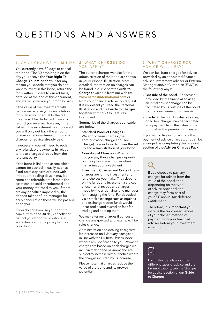# Q uestions and A nswers

### 1. CAN I CHANGE MY MIND?

You currently have 30 days to cancel the bond. The 30 days begin on the day you receive the Your Right To Change Your Mind form. If for any reason you decide that you do not want to invest in this bond, return the form within 30 days to our address, detailed at the end of this document, and we will give you your money back.

If the value of the investment falls before we receive your cancellation form, an amount equal to the fall in value will be deducted from any refund you receive. However, if the value of the investment has increased you will only get back the amount of your initial investment, minus any charges for advice already paid.

If necessary, you will need to reclaim any refundable payments in relation to these charges directly from the relevant party.

If the bond is linked to assets which cannot be cashed in easily, such as fixed-term deposits or funds with infrequent dealing days, it may be some considerable time before the asset can be sold or redeemed and your money returned to you. If there are any penalties imposed by the deposit taker or fund manager for early cancellation these will be passed on to you.

If you do not exercise your right to cancel within the 30 day cancellation period your bond will continue in accordance with the policy terms and conditions.

### 2. WHAT CHARGES DO YOU APPLY?

The current charges we take for the administration of the bond are shown in your Personal Illustration. More detailed information on charges can be found in our separate Guide to Charges available from our website www.utmostinternational.com or from your financial adviser on request. It is important you read the Personal Illustration and the Guide to Charges together with this Key Features Document.

Summaries of the charges applicable are below:

- › Standard Product Charges We apply these charges (the administration charge and Flex-Charge) to your bond to cover the set up and administration of your bond
- › Conditional Charges Whether or not you pay these charges depends on the options you choose when managing your investment
- › Investment Charges and Costs These charges are for the investment and fund choices you make. They depend on the funds and investment services chosen, and include any charges made by the underlying fund manager for managing the fund. Funds traded via a stock exchange such as equities and exchange traded funds would incur broker and custodian fees for trading and holding them.

We may alter our charges if our costs change unexpectedly, for example, if tax rules change.

Administration and dealing charges will be increased on 1 January each year in line with the UK Retail Prices Index without any notification to you. Payment charges are based on bank charges we incur in making the payment and are subject to increase without notice where the charges incurred by us increase.

Please note that charges reduce the value of the bond and its growth potential.

#### 3. WHAT CHARGES FOR A D V I C E W I L L I PAY?

We can facilitate charges for advice provided by an appointed financial adviser, investment adviser or External Manager and/or Custodian (EMC) in the following ways:

- **Outside of the bond** For advice provided by the financial adviser, an initial adviser charge can be facilitated by us outside of the bond before your premium is invested
- **Inside of the bond** Initial, ongoing or ad hoc charges can be facilitated as a payment from the value of the bond after the premium is invested.

If you would like us to facilitate the payment of advice charges, this can be arranged by completing the relevant section of the Adviser Charges Pack.

If you choose to pay any charges for advice from the value of the bond, then, depending on the type of advice provided, the charge may form part of your 5% annual tax-deferred entitlement.

Therefore, it is important you discuss the tax consequences of your chosen method of payment with your financial adviser before your investment is set up.

For further details about the different types of advice and the tax implications, see the 'charges for advice' section of our Guide to Charges.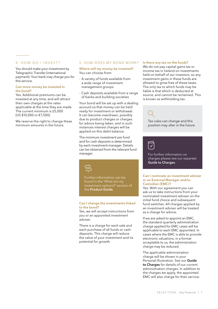#### 4. HOW DO I INVEST?

You should make your investment by Telegraphic Transfer (international payment). Your bank may charge you for this service.

#### Can more money be invested in the bond?

Yes. Additional premiums can be invested at any time, and will attract their own charges at the rates applicable at the time they are made. The current minimum is £5,000 (US \$10,000 or €7,500).

We reserve the right to change these minimum amounts in the future.

#### 5. HOW DOES MY BOND WORK?

Where will my money be invested? You can choose from:

- › A variety of funds available from a wide range of investment management groups
- › Cash deposits available from a range of banks and building societies

Your bond will be set up with a dealing account so that money can be held ready for investment or withdrawal. It can become overdrawn, possibly due to product charges or charges for advice being taken, and in such instances interest charges will be applied on this debit balance.

The minimum investment per fund and for cash deposits is determined by each investment manager. Details can be obtained from the relevant fund manager.



Further information can be found in the 'What are my investment options?' section of the Product Guide.

#### Can I change the investments linked to the bond?

Yes, we will accept instructions from you or an appointed investment adviser.

There is a charge for each sale and each purchase of all funds or cash deposits. This charge will reduce the value of your investment and its potential for growth.

#### Is there any tax on the funds?

We do not pay capital gains tax or income tax in Ireland on investments held on behalf of our investors, so any investment gains in these funds are allowed to grow free of these taxes. The only tax to which funds may be liable is that which is deducted at source, and cannot be reclaimed. This is known as withholding tax.



Tax rules can change and this position may alter in the future.



For further information on charges please see our separate Guide to Charges.

#### Can I nominate an investment adviser or an External Manager and/or Custodian (EMC)?

Yes. With our agreement you can ask us to take instructions from your nominated investment adviser on the initial fund choice and subsequent fund switches. All charges applied by an investment adviser will be treated as a charge for advice.

If we are asked to appoint an EMC, the standard quarterly administration charge applied for EMC cases will be applicable to each EMC appointed. In cases where the EMC is able to provide electronic valuations, in a format acceptable to us, the administration charge may be reduced.

The applicable administration charge will be shown in your Personal Illustration. See our Guide to Charges for details of our current administration charges. In addition to the charges we apply, the appointed EMC will also charge for their service.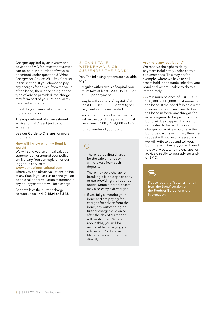Charges applied by an investment adviser or EMC for investment advice can be paid in a number of ways as described under question 3 'What Charges for Advice Will I Pay?' earlier in this section. If you choose to pay any charges for advice from the value of the bond, then, depending on the type of advice provided, the charge may form part of your 5% annual taxdeferred entitlement.

Speak to your financial adviser for more information.

The appointment of an investment adviser or EMC is subject to our agreement.

See our **Guide to Charges** for more information.

#### How will I know what my Bond is worth?

We will send you an annual valuation statement on or around your policy anniversary. You can register for our logged-in service at

#### www.utmostinternational.com

where you can obtain valuations online at any time. If you ask us to send you an additional paper valuation statement in any policy year there will be a charge.

For details of the current charge contact us on +44 (0)1624 643 345.

#### 6 . C an I take WITHDRAWALS OR SURRENDER THE BOND?

Yes. The following options are available to you:

- $\rightarrow$  regular withdrawals of capital; you must take at least £200 (US \$400 or €300) per payment
- $\rightarrow$  single withdrawals of capital of at least £500 (US \$1,000 or €750) per payment can be requested
- › surrender of individual segments within the bond; the payment must be at least £500 (US \$1,000 or €750)
- › full surrender of your bond.

- › There is a dealing charge for the sale of funds or withdrawals from cash deposits
- › There may be a charge for breaking a fixed deposit early or not providing the required notice. Some external assets may also carry exit charges
- › If you fully surrender your bond and are paying for charges for advice from the bond, any outstanding or further charges due on or after the day of surrender will be stopped. Where applicable, you will be responsible for paying your adviser and/or External Manager and/or Custodian directly.

#### Are there any restrictions?

We reserve the right to delay payment indefinitely under certain circumstances. This may be for example, where we have to sell assets held in the funds linked to your bond and we are unable to do this immediately.

› A minimum balance of £10,000 (US \$20,000 or €15,000) must remain in the bond. If the bond falls below the minimum amount required to keep the bond in force, any charges for advice agreed to be paid from the bond will be stopped. If any amount requested to be paid to cover charges for advice would take the bond below this minimum, then the request will not be processed and we will write to you and tell you. In both these instances, you will need to pay any outstanding charges for advice directly to your adviser and/ or EMC.



Please read the 'Getting money from the Bond' section of the Product Guide for more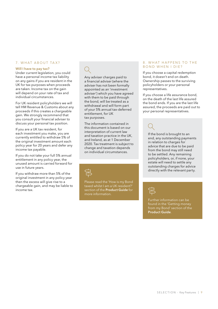### 7. WHAT ABOUT TAX?

#### Will I have to pay tax?

Under current legislation, you could have a personal income tax liability on any gains if you are resident in the UK for tax purposes when proceeds are taken. Income tax on the gain will depend on your rate of tax and individual circumstances.

For UK resident policyholders we will tell HM Revenue & Customs about any proceeds if this creates a chargeable gain. We strongly recommend that you consult your financial adviser to discuss your personal tax position.

If you are a UK tax resident, for each investment you make, you are currently entitled to withdraw 5% of the original investment amount each policy year for 20 years and defer any income tax payable.

If you do not take your full 5% annual entitlement in any policy year, the unused amount is carried forward for use in future years.

If you withdraw more than 5% of the original investment in any policy year then the excess will give rise to a chargeable gain, and may be liable to income tax.

Any adviser charges paid to a financial adviser (where the adviser has not been formally appointed as an 'investment adviser') which you have agreed with them to be paid through the bond, will be treated as a withdrawal and will form part of your 5% annual tax-deferred entitlement, for UK tax purposes.

The information contained in this document is based on our interpretation of current law and taxation practice in the UK, and Ireland, as at 1 December 2020. Tax treatment is subject to change and taxation depends on individual circumstances.



Please read the 'How is my Bond taxed whilst I am a UK resident?' section of the Product Guide for more information.

#### 8. WHAT HAPPENS TO THE bond when I die ?

If you choose a capital redemption bond, it doesn't end on death. Ownership passes to the surviving policyholders or your personal representatives.

If you choose a life assurance bond, on the death of the last life assured the bond ends. If you are the last life assured, the proceeds are paid out to your personal representatives.

If the bond is brought to an end, any outstanding payments in relation to charges for advice that are due to be paid from the bond may still need to be settled. Any remaining policyholders, or, if none, your estate will need to settle any outstanding charges for advice directly with the relevant party.



Further information can be found in the 'Getting money from my Bond' section of the Product Guide.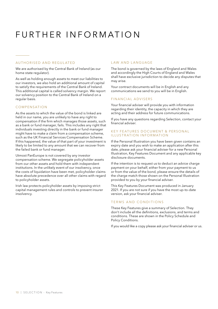# FURTHER INFORMATION

#### **AUTHORISED AND REGULATED**

We are authorised by the Central Bank of Ireland (as our home state regulator).

As well as holding enough assets to meet our liabilities to our investors, we also hold an additional amount of capital to satisfy the requirements of the Central Bank of Ireland. This additional capital is called solvency margin. We report our solvency position to the Central Bank of Ireland on a regular basis.

#### Compensation

As the assets to which the value of the bond is linked are held in our name, you are unlikely to have any right to compensation if the firm which manages those assets, such as a bank or fund manager, fails. This includes any right that individuals investing directly in the bank or fund manager might have to make a claim from a compensation scheme, such as the UK Financial Services Compensation Scheme. If this happened, the value of that part of your investment is likely to be limited to any amount that we can recover from the failed bank or fund manager.

Utmost PanEurope is not covered by any investor compensation scheme. We segregate policyholder assets from our other assets and hold them with independent institutions. In the unlikely event of our insolvency, once the costs of liquidation have been met, policyholder claims have absolute precedence over all other claims with regard to policyholder assets.

Irish law protects policyholder assets by imposing strict capital management rules and controls to prevent insurer insolvency.

#### LAW AND LANGUAGE

The bond is governed by the laws of England and Wales and accordingly the High Courts of England and Wales shall have exclusive jurisdiction to decide any disputes that may arise.

Your contract documents will be in English and any communications we send to you will be in English.

#### FINANCIAL ADVISERS

Your financial adviser will provide you with information regarding their identity, the capacity in which they are acting and their address for future communications.

If you have any questions regarding Selection, contact your financial adviser.

### KEY FEATURES DOCUMENT & PERSONAL II LUSTRATION INFORMATION

If the Personal Illustration you have been given contains an expiry date and you wish to make an application after this date, please ask your financial adviser for a new Personal Illustration, Key Features Document and any applicable key disclosure documents.

If the intention is to request us to deduct an advice charge payment on your behalf, either from your payment to us or from the value of the bond, please ensure the details of the charge match those shown on the Personal Illustration provided to you by your financial adviser.

This Key Features Document was produced in January 2021. If you are not sure if you have the most up-to-date version, ask your financial adviser.

#### TERMS AND CONDITIONS

These Key Features give a summary of Selection. They don't include all the definitions, exclusions, and terms and conditions. These are shown in the Policy Schedule and Policy Conditions.

If you would like a copy please ask your financial adviser or us.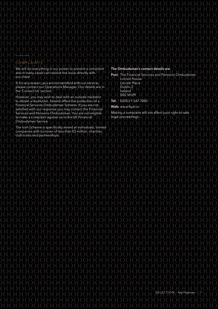### COMPLAINTS

We will do everything in our power to prevent a complaint and in many cases can resolve the issue directly with our client.

If, for any reason, you are not satisfied with our service, please contact our Operations Manager. Our details are in the 'Contact Us' section.

However, you may wish to deal with an outside mediator to obtain a resolution. Ireland offers the protection of a Financial Services Ombudsman Scheme. If you are not satisfied with our response you may contact the Financial Services and Pensions Ombudsman. You are not eligible to make a complaint against us to the UK Financial Ombudsman Service.

The Irish Scheme is specifically aimed at individuals, limited companies with turnover of less than €3 million, charities, club trusts and partnerships.

#### The Ombudsman's contact details are:

Post: The Financial Services and Pensions Ombudsman Lincoln House Lincoln Place Dublin 2 Ireland D02 VH29

Tel: 00353 1 567 7000

Web: www.fspo.ie

Making a complaint will not affect your right to take legal proceedings.